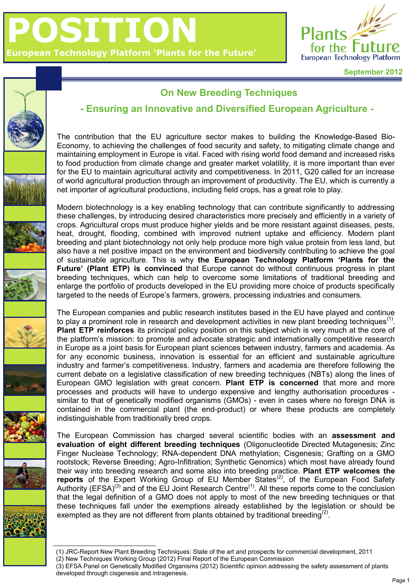



## **On New Breeding Techniques**

## **- Ensuring an Innovative and Diversified European Agriculture -**

The contribution that the EU agriculture sector makes to building the Knowledge-Based Bio-Economy, to achieving the challenges of food security and safety, to mitigating climate change and maintaining employment in Europe is vital. Faced with rising world food demand and increased risks to food production from climate change and greater market volatility, it is more important than ever for the EU to maintain agricultural activity and competitiveness. In 2011, G20 called for an increase of world agricultural production through an improvement of productivity. The EU, which is currently a net importer of agricultural productions, including field crops, has a great role to play.

Modern biotechnology is a key enabling technology that can contribute significantly to addressing these challenges, by introducing desired characteristics more precisely and efficiently in a variety of crops. Agricultural crops must produce higher yields and be more resistant against diseases, pests, heat, drought, flooding, combined with improved nutrient uptake and efficiency. Modern plant breeding and plant biotechnology not only help produce more high value protein from less land, but also have a net positive impact on the environment and biodiversity contributing to achieve the goal of sustainable agriculture. This is why **the European Technology Platform 'Plants for the Future' (Plant ETP) is convinced** that Europe cannot do without continuous progress in plant breeding techniques, which can help to overcome some limitations of traditional breeding and enlarge the portfolio of products developed in the EU providing more choice of products specifically targeted to the needs of Europe's farmers, growers, processing industries and consumers.

The European companies and public research institutes based in the EU have played and continue to play a prominent role in research and development activities in new plant breeding techniques<sup>(1)</sup>. **Plant ETP reinforces** its principal policy position on this subject which is very much at the core of the platform's mission: to promote and advocate strategic and internationally competitive research in Europe as a joint basis for European plant sciences between industry, farmers and academia. As for any economic business, innovation is essential for an efficient and sustainable agriculture industry and farmer's competitiveness. Industry, farmers and academia are therefore following the current debate on a legislative classification of new breeding techniques (NBTs) along the lines of European GMO legislation with great concern. **Plant ETP is concerned** that more and more processes and products will have to undergo expensive and lengthy authorisation procedures similar to that of genetically modified organisms (GMOs) - even in cases where no foreign DNA is contained in the commercial plant (the end-product) or where these products are completely indistinguishable from traditionally bred crops.

The European Commission has charged several scientific bodies with an **assessment and evaluation of eight different breeding techniques** (Oligonucleotide Directed Mutagenesis; Zinc Finger Nuclease Technology; RNA-dependent DNA methylation; Cisgenesis; Grafting on a GMO rootstock; Reverse Breeding; Agro-Infiltration; Synthetic Genomics) which most have already found their way into breeding research and some also into breeding practice. **Plant ETP welcomes the**  reports of the Expert Working Group of EU Member States<sup>(2)</sup>, of the European Food Safety Authority (EFSA)<sup>(3)</sup> and of the EU Joint Research Centre<sup>(1)</sup>. All these reports come to the conclusion that the legal definition of a GMO does not apply to most of the new breeding techniques or that these techniques fall under the exemptions already established by the legislation or should be exempted as they are not different from plants obtained by traditional breeding<sup>(2)</sup>.

<sup>(1)</sup> JRC-Report New Plant Breeding Techniques: State of the art and prospects for commercial development, 2011 (2) New Techniques Working Group (2012) Final Report of the European Commission

<sup>(3)</sup> EFSA Panel on Genetically Modified Organisms (2012) Scientific opinion addressing the safety assessment of plants developed through cisgenesis and intragenesis.